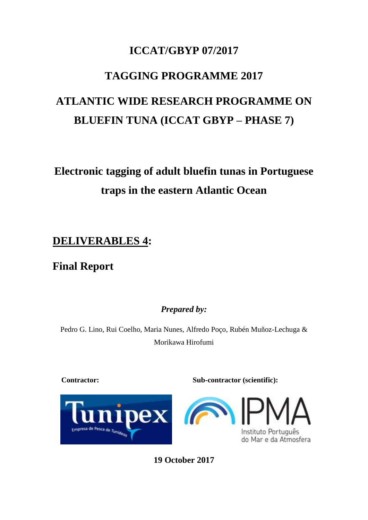## **ICCAT/GBYP 07/2017**

# **TAGGING PROGRAMME 2017**

# **ATLANTIC WIDE RESEARCH PROGRAMME ON BLUEFIN TUNA (ICCAT GBYP – PHASE 7)**

# **Electronic tagging of adult bluefin tunas in Portuguese traps in the eastern Atlantic Ocean**

## **DELIVERABLES 4:**

# **Final Report**

*Prepared by:*

Pedro G. Lino, Rui Coelho, Maria Nunes, Alfredo Poço, Rubén Muñoz-Lechuga & Morikawa Hirofumi

**Contractor: Sub-contractor (scientific):**



Instituto Português

do Mar e da Atmosfera

**19 October 2017**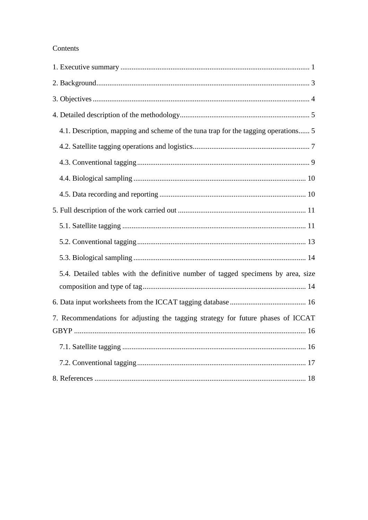#### Contents

| 4.1. Description, mapping and scheme of the tuna trap for the tagging operations 5 |
|------------------------------------------------------------------------------------|
|                                                                                    |
|                                                                                    |
|                                                                                    |
|                                                                                    |
|                                                                                    |
|                                                                                    |
|                                                                                    |
|                                                                                    |
| 5.4. Detailed tables with the definitive number of tagged specimens by area, size  |
|                                                                                    |
|                                                                                    |
| 7. Recommendations for adjusting the tagging strategy for future phases of ICCAT   |
|                                                                                    |
|                                                                                    |
|                                                                                    |
|                                                                                    |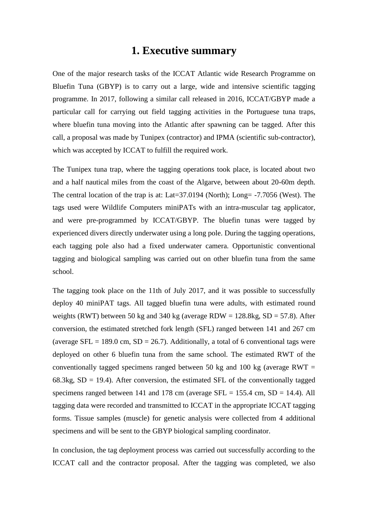#### **1. Executive summary**

<span id="page-2-0"></span>One of the major research tasks of the ICCAT Atlantic wide Research Programme on Bluefin Tuna (GBYP) is to carry out a large, wide and intensive scientific tagging programme. In 2017, following a similar call released in 2016, ICCAT/GBYP made a particular call for carrying out field tagging activities in the Portuguese tuna traps, where bluefin tuna moving into the Atlantic after spawning can be tagged. After this call, a proposal was made by Tunipex (contractor) and IPMA (scientific sub-contractor), which was accepted by ICCAT to fulfill the required work.

The Tunipex tuna trap, where the tagging operations took place, is located about two and a half nautical miles from the coast of the Algarve, between about 20-60m depth. The central location of the trap is at: Lat=37.0194 (North); Long= -7.7056 (West). The tags used were Wildlife Computers miniPATs with an intra-muscular tag applicator, and were pre-programmed by ICCAT/GBYP. The bluefin tunas were tagged by experienced divers directly underwater using a long pole. During the tagging operations, each tagging pole also had a fixed underwater camera. Opportunistic conventional tagging and biological sampling was carried out on other bluefin tuna from the same school.

The tagging took place on the 11th of July 2017, and it was possible to successfully deploy 40 miniPAT tags. All tagged bluefin tuna were adults, with estimated round weights (RWT) between 50 kg and 340 kg (average RDW =  $128.8$ kg, SD = 57.8). After conversion, the estimated stretched fork length (SFL) ranged between 141 and 267 cm (average SFL = 189.0 cm, SD = 26.7). Additionally, a total of 6 conventional tags were deployed on other 6 bluefin tuna from the same school. The estimated RWT of the conventionally tagged specimens ranged between 50 kg and 100 kg (average RWT  $=$  $68.3kg$ ,  $SD = 19.4$ ). After conversion, the estimated SFL of the conventionally tagged specimens ranged between 141 and 178 cm (average  $SFL = 155.4$  cm,  $SD = 14.4$ ). All tagging data were recorded and transmitted to ICCAT in the appropriate ICCAT tagging forms. Tissue samples (muscle) for genetic analysis were collected from 4 additional specimens and will be sent to the GBYP biological sampling coordinator.

In conclusion, the tag deployment process was carried out successfully according to the ICCAT call and the contractor proposal. After the tagging was completed, we also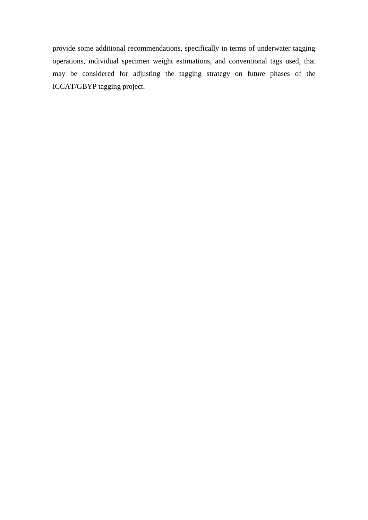provide some additional recommendations, specifically in terms of underwater tagging operations, individual specimen weight estimations, and conventional tags used, that may be considered for adjusting the tagging strategy on future phases of the ICCAT/GBYP tagging project.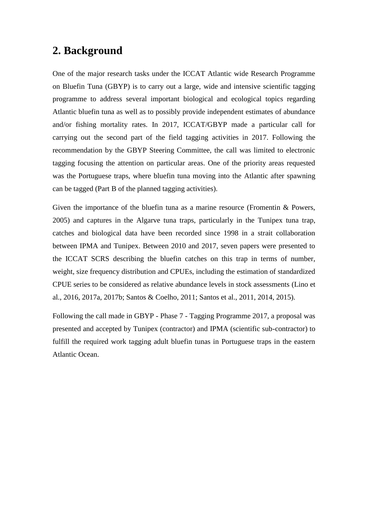#### <span id="page-4-0"></span>**2. Background**

One of the major research tasks under the ICCAT Atlantic wide Research Programme on Bluefin Tuna (GBYP) is to carry out a large, wide and intensive scientific tagging programme to address several important biological and ecological topics regarding Atlantic bluefin tuna as well as to possibly provide independent estimates of abundance and/or fishing mortality rates. In 2017, ICCAT/GBYP made a particular call for carrying out the second part of the field tagging activities in 2017. Following the recommendation by the GBYP Steering Committee, the call was limited to electronic tagging focusing the attention on particular areas. One of the priority areas requested was the Portuguese traps, where bluefin tuna moving into the Atlantic after spawning can be tagged (Part B of the planned tagging activities).

Given the importance of the bluefin tuna as a marine resource (Fromentin  $\&$  Powers, 2005) and captures in the Algarve tuna traps, particularly in the Tunipex tuna trap, catches and biological data have been recorded since 1998 in a strait collaboration between IPMA and Tunipex. Between 2010 and 2017, seven papers were presented to the ICCAT SCRS describing the bluefin catches on this trap in terms of number, weight, size frequency distribution and CPUEs, including the estimation of standardized CPUE series to be considered as relative abundance levels in stock assessments (Lino et al., 2016, 2017a, 2017b; Santos & Coelho, 2011; Santos et al., 2011, 2014, 2015).

Following the call made in GBYP - Phase 7 - Tagging Programme 2017, a proposal was presented and accepted by Tunipex (contractor) and IPMA (scientific sub-contractor) to fulfill the required work tagging adult bluefin tunas in Portuguese traps in the eastern Atlantic Ocean.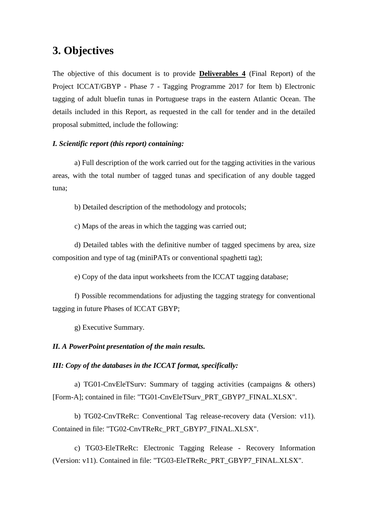#### <span id="page-5-0"></span>**3. Objectives**

The objective of this document is to provide **Deliverables 4** (Final Report) of the Project ICCAT/GBYP - Phase 7 - Tagging Programme 2017 for Item b) Electronic tagging of adult bluefin tunas in Portuguese traps in the eastern Atlantic Ocean. The details included in this Report, as requested in the call for tender and in the detailed proposal submitted, include the following:

#### *I. Scientific report (this report) containing:*

a) Full description of the work carried out for the tagging activities in the various areas, with the total number of tagged tunas and specification of any double tagged tuna;

b) Detailed description of the methodology and protocols;

c) Maps of the areas in which the tagging was carried out;

d) Detailed tables with the definitive number of tagged specimens by area, size composition and type of tag (miniPATs or conventional spaghetti tag);

e) Copy of the data input worksheets from the ICCAT tagging database;

f) Possible recommendations for adjusting the tagging strategy for conventional tagging in future Phases of ICCAT GBYP;

g) Executive Summary.

#### *II. A PowerPoint presentation of the main results.*

#### *III: Copy of the databases in the ICCAT format, specifically:*

a) TG01-CnvEleTSurv: Summary of tagging activities (campaigns & others) [Form-A]; contained in file: "TG01-CnvEleTSurv\_PRT\_GBYP7\_FINAL.XLSX".

b) TG02-CnvTReRc: Conventional Tag release-recovery data (Version: v11). Contained in file: "TG02-CnvTReRc\_PRT\_GBYP7\_FINAL.XLSX".

c) TG03-EleTReRc: Electronic Tagging Release - Recovery Information (Version: v11). Contained in file: "TG03-EleTReRc\_PRT\_GBYP7\_FINAL.XLSX".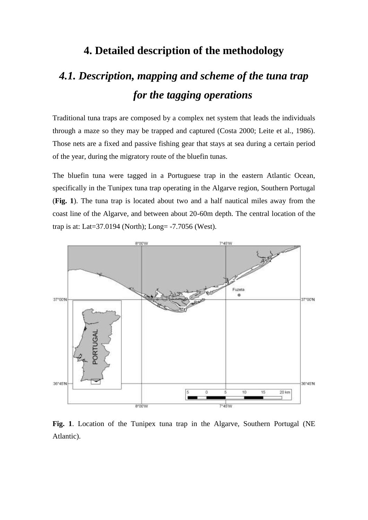## **4. Detailed description of the methodology**

# <span id="page-6-1"></span><span id="page-6-0"></span>*4.1. Description, mapping and scheme of the tuna trap for the tagging operations*

Traditional tuna traps are composed by a complex net system that leads the individuals through a maze so they may be trapped and captured (Costa 2000; Leite et al., 1986). Those nets are a fixed and passive fishing gear that stays at sea during a certain period of the year, during the migratory route of the bluefin tunas.

The bluefin tuna were tagged in a Portuguese trap in the eastern Atlantic Ocean, specifically in the Tunipex tuna trap operating in the Algarve region, Southern Portugal (**Fig. 1**). The tuna trap is located about two and a half nautical miles away from the coast line of the Algarve, and between about 20-60m depth. The central location of the trap is at: Lat=37.0194 (North); Long= -7.7056 (West).



**Fig. 1**. Location of the Tunipex tuna trap in the Algarve, Southern Portugal (NE Atlantic).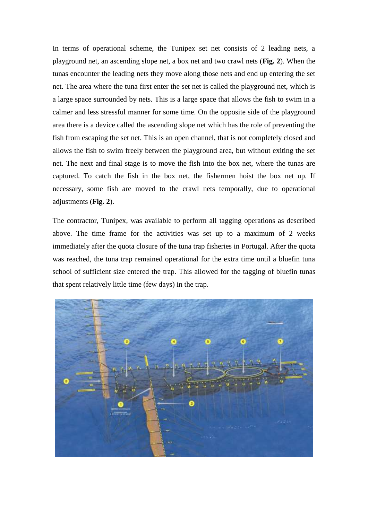In terms of operational scheme, the Tunipex set net consists of 2 leading nets, a playground net, an ascending slope net, a box net and two crawl nets (**Fig. 2**). When the tunas encounter the leading nets they move along those nets and end up entering the set net. The area where the tuna first enter the set net is called the playground net, which is a large space surrounded by nets. This is a large space that allows the fish to swim in a calmer and less stressful manner for some time. On the opposite side of the playground area there is a device called the ascending slope net which has the role of preventing the fish from escaping the set net. This is an open channel, that is not completely closed and allows the fish to swim freely between the playground area, but without exiting the set net. The next and final stage is to move the fish into the box net, where the tunas are captured. To catch the fish in the box net, the fishermen hoist the box net up. If necessary, some fish are moved to the crawl nets temporally, due to operational adjustments (**Fig. 2**).

The contractor, Tunipex, was available to perform all tagging operations as described above. The time frame for the activities was set up to a maximum of 2 weeks immediately after the quota closure of the tuna trap fisheries in Portugal. After the quota was reached, the tuna trap remained operational for the extra time until a bluefin tuna school of sufficient size entered the trap. This allowed for the tagging of bluefin tunas that spent relatively little time (few days) in the trap.

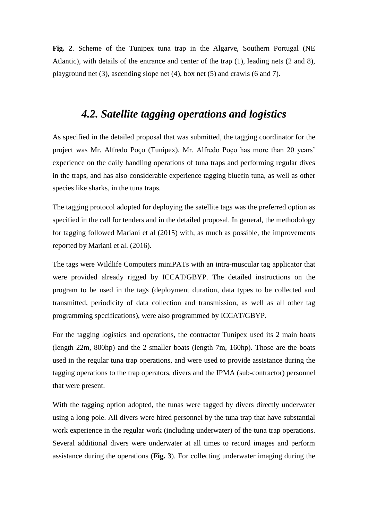**Fig. 2**. Scheme of the Tunipex tuna trap in the Algarve, Southern Portugal (NE Atlantic), with details of the entrance and center of the trap (1), leading nets (2 and 8), playground net (3), ascending slope net (4), box net (5) and crawls (6 and 7).

# *4.2. Satellite tagging operations and logistics*

<span id="page-8-0"></span>As specified in the detailed proposal that was submitted, the tagging coordinator for the project was Mr. Alfredo Poço (Tunipex). Mr. Alfredo Poço has more than 20 years' experience on the daily handling operations of tuna traps and performing regular dives in the traps, and has also considerable experience tagging bluefin tuna, as well as other species like sharks, in the tuna traps.

The tagging protocol adopted for deploying the satellite tags was the preferred option as specified in the call for tenders and in the detailed proposal. In general, the methodology for tagging followed Mariani et al (2015) with, as much as possible, the improvements reported by Mariani et al. (2016).

The tags were Wildlife Computers miniPATs with an intra-muscular tag applicator that were provided already rigged by ICCAT/GBYP. The detailed instructions on the program to be used in the tags (deployment duration, data types to be collected and transmitted, periodicity of data collection and transmission, as well as all other tag programming specifications), were also programmed by ICCAT/GBYP.

For the tagging logistics and operations, the contractor Tunipex used its 2 main boats (length 22m, 800hp) and the 2 smaller boats (length 7m, 160hp). Those are the boats used in the regular tuna trap operations, and were used to provide assistance during the tagging operations to the trap operators, divers and the IPMA (sub-contractor) personnel that were present.

With the tagging option adopted, the tunas were tagged by divers directly underwater using a long pole. All divers were hired personnel by the tuna trap that have substantial work experience in the regular work (including underwater) of the tuna trap operations. Several additional divers were underwater at all times to record images and perform assistance during the operations (**Fig. 3**). For collecting underwater imaging during the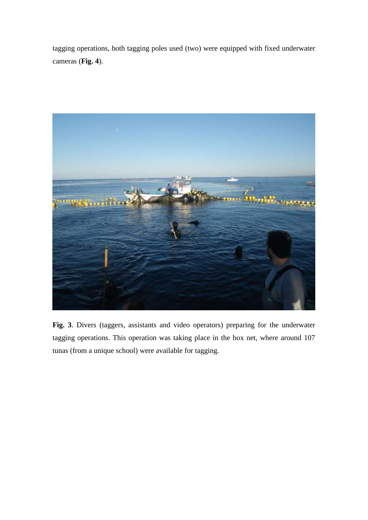tagging operations, both tagging poles used (two) were equipped with fixed underwater cameras (**Fig. 4**).



**Fig. 3**. Divers (taggers, assistants and video operators) preparing for the underwater tagging operations. This operation was taking place in the box net, where around 107 tunas (from a unique school) were available for tagging.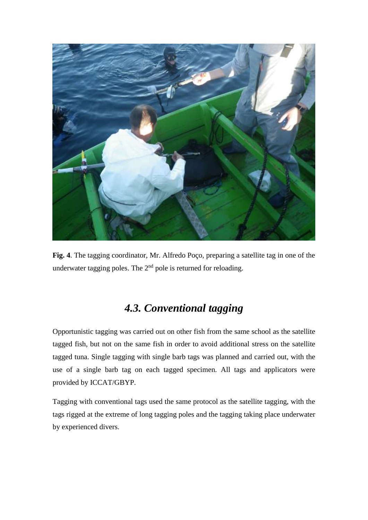

**Fig. 4**. The tagging coordinator, Mr. Alfredo Poço, preparing a satellite tag in one of the underwater tagging poles. The  $2<sup>nd</sup>$  pole is returned for reloading.

# *4.3. Conventional tagging*

<span id="page-10-0"></span>Opportunistic tagging was carried out on other fish from the same school as the satellite tagged fish, but not on the same fish in order to avoid additional stress on the satellite tagged tuna. Single tagging with single barb tags was planned and carried out, with the use of a single barb tag on each tagged specimen. All tags and applicators were provided by ICCAT/GBYP.

Tagging with conventional tags used the same protocol as the satellite tagging, with the tags rigged at the extreme of long tagging poles and the tagging taking place underwater by experienced divers.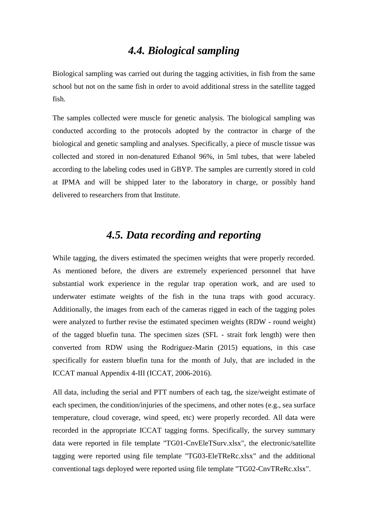### *4.4. Biological sampling*

<span id="page-11-0"></span>Biological sampling was carried out during the tagging activities, in fish from the same school but not on the same fish in order to avoid additional stress in the satellite tagged fish.

The samples collected were muscle for genetic analysis. The biological sampling was conducted according to the protocols adopted by the contractor in charge of the biological and genetic sampling and analyses. Specifically, a piece of muscle tissue was collected and stored in non-denatured Ethanol 96%, in 5ml tubes, that were labeled according to the labeling codes used in GBYP. The samples are currently stored in cold at IPMA and will be shipped later to the laboratory in charge, or possibly hand delivered to researchers from that Institute.

### *4.5. Data recording and reporting*

<span id="page-11-1"></span>While tagging, the divers estimated the specimen weights that were properly recorded. As mentioned before, the divers are extremely experienced personnel that have substantial work experience in the regular trap operation work, and are used to underwater estimate weights of the fish in the tuna traps with good accuracy. Additionally, the images from each of the cameras rigged in each of the tagging poles were analyzed to further revise the estimated specimen weights (RDW - round weight) of the tagged bluefin tuna. The specimen sizes (SFL - strait fork length) were then converted from RDW using the Rodriguez-Marin (2015) equations, in this case specifically for eastern bluefin tuna for the month of July, that are included in the ICCAT manual Appendix 4-III (ICCAT, 2006-2016).

All data, including the serial and PTT numbers of each tag, the size/weight estimate of each specimen, the condition/injuries of the specimens, and other notes (e.g., sea surface temperature, cloud coverage, wind speed, etc) were properly recorded. All data were recorded in the appropriate ICCAT tagging forms. Specifically, the survey summary data were reported in file template "TG01-CnvEleTSurv.xlsx", the electronic/satellite tagging were reported using file template "TG03-EleTReRc.xlsx" and the additional conventional tags deployed were reported using file template "TG02-CnvTReRc.xlsx".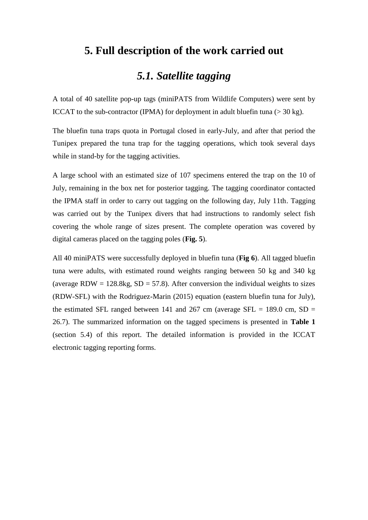#### <span id="page-12-0"></span>**5. Full description of the work carried out**

### *5.1. Satellite tagging*

<span id="page-12-1"></span>A total of 40 satellite pop-up tags (miniPATS from Wildlife Computers) were sent by ICCAT to the sub-contractor (IPMA) for deployment in adult bluefin tuna  $(> 30 \text{ kg})$ .

The bluefin tuna traps quota in Portugal closed in early-July, and after that period the Tunipex prepared the tuna trap for the tagging operations, which took several days while in stand-by for the tagging activities.

A large school with an estimated size of 107 specimens entered the trap on the 10 of July, remaining in the box net for posterior tagging. The tagging coordinator contacted the IPMA staff in order to carry out tagging on the following day, July 11th. Tagging was carried out by the Tunipex divers that had instructions to randomly select fish covering the whole range of sizes present. The complete operation was covered by digital cameras placed on the tagging poles (**Fig. 5**).

All 40 miniPATS were successfully deployed in bluefin tuna (**Fig 6**). All tagged bluefin tuna were adults, with estimated round weights ranging between 50 kg and 340 kg (average RDW =  $128.8$ kg, SD = 57.8). After conversion the individual weights to sizes (RDW-SFL) with the Rodriguez-Marin (2015) equation (eastern bluefin tuna for July), the estimated SFL ranged between 141 and 267 cm (average SFL = 189.0 cm, SD = 26.7). The summarized information on the tagged specimens is presented in **Table 1** (section 5.4) of this report. The detailed information is provided in the ICCAT electronic tagging reporting forms.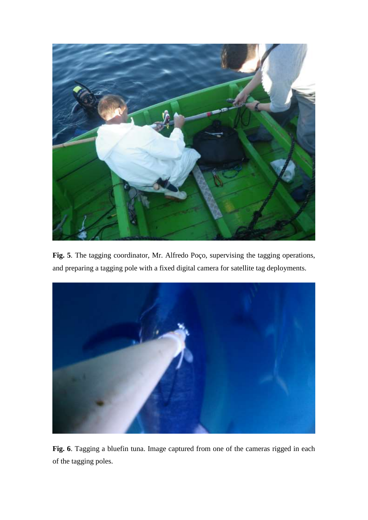

**Fig. 5**. The tagging coordinator, Mr. Alfredo Poço, supervising the tagging operations, and preparing a tagging pole with a fixed digital camera for satellite tag deployments.



**Fig. 6**. Tagging a bluefin tuna. Image captured from one of the cameras rigged in each of the tagging poles.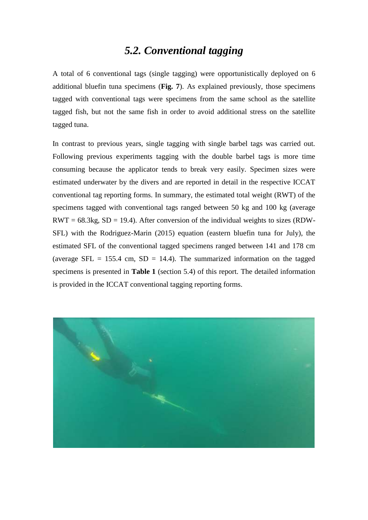#### *5.2. Conventional tagging*

<span id="page-14-0"></span>A total of 6 conventional tags (single tagging) were opportunistically deployed on 6 additional bluefin tuna specimens (**Fig. 7**). As explained previously, those specimens tagged with conventional tags were specimens from the same school as the satellite tagged fish, but not the same fish in order to avoid additional stress on the satellite tagged tuna.

In contrast to previous years, single tagging with single barbel tags was carried out. Following previous experiments tagging with the double barbel tags is more time consuming because the applicator tends to break very easily. Specimen sizes were estimated underwater by the divers and are reported in detail in the respective ICCAT conventional tag reporting forms. In summary, the estimated total weight (RWT) of the specimens tagged with conventional tags ranged between 50 kg and 100 kg (average  $RWT = 68.3kg$ ,  $SD = 19.4$ ). After conversion of the individual weights to sizes (RDW-SFL) with the Rodriguez-Marin (2015) equation (eastern bluefin tuna for July), the estimated SFL of the conventional tagged specimens ranged between 141 and 178 cm (average SFL = 155.4 cm, SD = 14.4). The summarized information on the tagged specimens is presented in **Table 1** (section 5.4) of this report. The detailed information is provided in the ICCAT conventional tagging reporting forms.

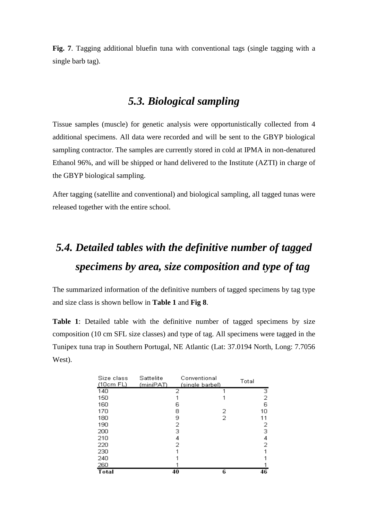**Fig. 7**. Tagging additional bluefin tuna with conventional tags (single tagging with a single barb tag).

## *5.3. Biological sampling*

<span id="page-15-0"></span>Tissue samples (muscle) for genetic analysis were opportunistically collected from 4 additional specimens. All data were recorded and will be sent to the GBYP biological sampling contractor. The samples are currently stored in cold at IPMA in non-denatured Ethanol 96%, and will be shipped or hand delivered to the Institute (AZTI) in charge of the GBYP biological sampling.

After tagging (satellite and conventional) and biological sampling, all tagged tunas were released together with the entire school.

# <span id="page-15-1"></span>*5.4. Detailed tables with the definitive number of tagged specimens by area, size composition and type of tag*

The summarized information of the definitive numbers of tagged specimens by tag type and size class is shown bellow in **Table 1** and **Fig 8**.

**Table 1**: Detailed table with the definitive number of tagged specimens by size composition (10 cm SFL size classes) and type of tag. All specimens were tagged in the Tunipex tuna trap in Southern Portugal, NE Atlantic (Lat: 37.0194 North, Long: 7.7056 West).

| Size class<br>(10cm FL) | Sattelite<br>Conventional<br>(miniPAT)<br>(single barbel) |    | Total |  |                |
|-------------------------|-----------------------------------------------------------|----|-------|--|----------------|
| 140                     |                                                           | 2  |       |  | з              |
| 150                     |                                                           |    |       |  | $\overline{2}$ |
| 160                     |                                                           | 6  |       |  | 6              |
| 170                     |                                                           | 8  | 2     |  | 10             |
| 180                     |                                                           | 9  | 2     |  | 11             |
| 190                     |                                                           | 2  |       |  | 2              |
| 200                     |                                                           | з  |       |  | 3              |
| 210                     |                                                           | 4  |       |  | 4              |
| 220                     |                                                           | 2  |       |  | 2              |
| 230                     |                                                           |    |       |  |                |
| 240                     |                                                           |    |       |  |                |
| 260                     |                                                           |    |       |  |                |
| Total                   |                                                           | 40 | 6     |  | 46             |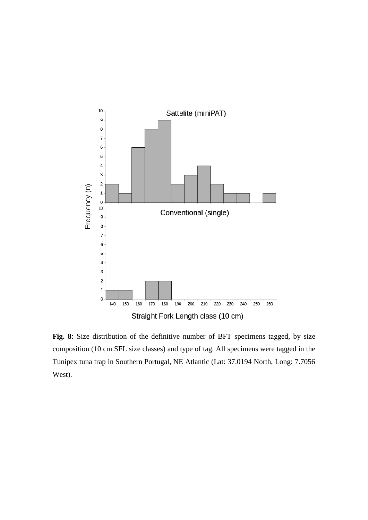

**Fig. 8**: Size distribution of the definitive number of BFT specimens tagged, by size composition (10 cm SFL size classes) and type of tag. All specimens were tagged in the Tunipex tuna trap in Southern Portugal, NE Atlantic (Lat: 37.0194 North, Long: 7.7056 West).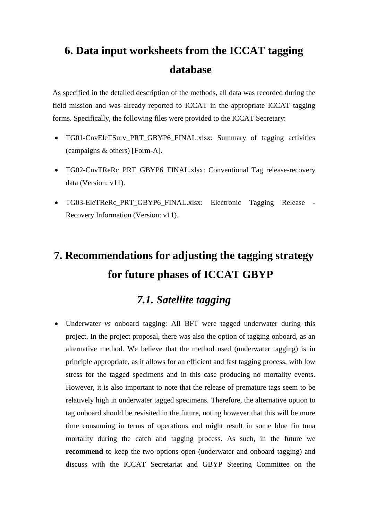# <span id="page-17-0"></span>**6. Data input worksheets from the ICCAT tagging database**

As specified in the detailed description of the methods, all data was recorded during the field mission and was already reported to ICCAT in the appropriate ICCAT tagging forms. Specifically, the following files were provided to the ICCAT Secretary:

- TG01-CnvEleTSurv\_PRT\_GBYP6\_FINAL.xlsx: Summary of tagging activities (campaigns & others) [Form-A].
- TG02-CnvTReRc\_PRT\_GBYP6\_FINAL.xlsx: Conventional Tag release-recovery data (Version: v11).
- TG03-EleTReRc\_PRT\_GBYP6\_FINAL.xlsx: Electronic Tagging Release Recovery Information (Version: v11).

# <span id="page-17-1"></span>**7. Recommendations for adjusting the tagging strategy for future phases of ICCAT GBYP**

## *7.1. Satellite tagging*

<span id="page-17-2"></span>• Underwater *vs* onboard tagging: All BFT were tagged underwater during this project. In the project proposal, there was also the option of tagging onboard, as an alternative method. We believe that the method used (underwater tagging) is in principle appropriate, as it allows for an efficient and fast tagging process, with low stress for the tagged specimens and in this case producing no mortality events. However, it is also important to note that the release of premature tags seem to be relatively high in underwater tagged specimens. Therefore, the alternative option to tag onboard should be revisited in the future, noting however that this will be more time consuming in terms of operations and might result in some blue fin tuna mortality during the catch and tagging process. As such, in the future we **recommend** to keep the two options open (underwater and onboard tagging) and discuss with the ICCAT Secretariat and GBYP Steering Committee on the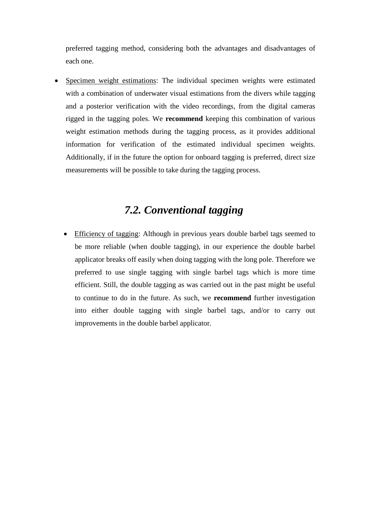preferred tagging method, considering both the advantages and disadvantages of each one.

Specimen weight estimations: The individual specimen weights were estimated with a combination of underwater visual estimations from the divers while tagging and a posterior verification with the video recordings, from the digital cameras rigged in the tagging poles. We **recommend** keeping this combination of various weight estimation methods during the tagging process, as it provides additional information for verification of the estimated individual specimen weights. Additionally, if in the future the option for onboard tagging is preferred, direct size measurements will be possible to take during the tagging process.

# *7.2. Conventional tagging*

<span id="page-18-0"></span>• Efficiency of tagging: Although in previous years double barbel tags seemed to be more reliable (when double tagging), in our experience the double barbel applicator breaks off easily when doing tagging with the long pole. Therefore we preferred to use single tagging with single barbel tags which is more time efficient. Still, the double tagging as was carried out in the past might be useful to continue to do in the future. As such, we **recommend** further investigation into either double tagging with single barbel tags, and/or to carry out improvements in the double barbel applicator.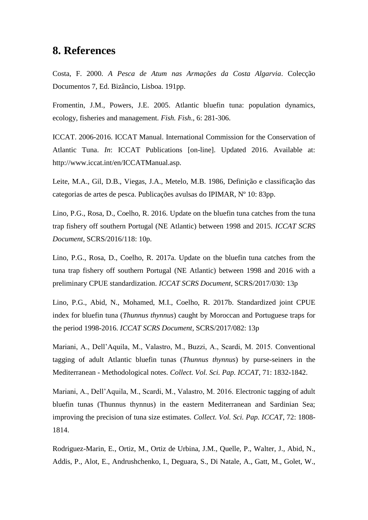#### <span id="page-19-0"></span>**8. References**

Costa, F. 2000. *A Pesca de Atum nas Armações da Costa Algarvia*. Colecção Documentos 7, Ed. Bizâncio, Lisboa. 191pp.

Fromentin, J.M., Powers, J.E. 2005. Atlantic bluefin tuna: population dynamics, ecology, fisheries and management. *Fish. Fish*., 6: 281-306.

ICCAT. 2006-2016. ICCAT Manual. International Commission for the Conservation of Atlantic Tuna. *In*: ICCAT Publications [on-line]. Updated 2016. Available at: http://www.iccat.int/en/ICCATManual.asp.

Leite, M.A., Gil, D.B., Viegas, J.A., Metelo, M.B. 1986, Definição e classificação das categorias de artes de pesca. Publicações avulsas do IPIMAR, Nº 10: 83pp.

Lino, P.G., Rosa, D., Coelho, R. 2016. Update on the bluefin tuna catches from the tuna trap fishery off southern Portugal (NE Atlantic) between 1998 and 2015. *ICCAT SCRS Document*, SCRS/2016/118: 10p.

Lino, P.G., Rosa, D., Coelho, R. 2017a. Update on the bluefin tuna catches from the tuna trap fishery off southern Portugal (NE Atlantic) between 1998 and 2016 with a preliminary CPUE standardization. *ICCAT SCRS Document*, SCRS/2017/030: 13p

Lino, P.G., Abid, N., Mohamed, M.I., Coelho, R. 2017b. Standardized joint CPUE index for bluefin tuna (*Thunnus thynnus*) caught by Moroccan and Portuguese traps for the period 1998-2016. *ICCAT SCRS Document*, SCRS/2017/082: 13p

Mariani, A., Dell'Aquila, M., Valastro, M., Buzzi, A., Scardi, M. 2015. Conventional tagging of adult Atlantic bluefin tunas (*Thunnus thynnus*) by purse-seiners in the Mediterranean - Methodological notes. *Collect. Vol. Sci. Pap. ICCAT*, 71: 1832-1842.

Mariani, A., Dell'Aquila, M., Scardi, M., Valastro, M. 2016. Electronic tagging of adult bluefin tunas (Thunnus thynnus) in the eastern Mediterranean and Sardinian Sea; improving the precision of tuna size estimates. *Collect. Vol. Sci. Pap. ICCAT*, 72: 1808- 1814.

Rodriguez-Marin, E., Ortiz, M., Ortiz de Urbina, J.M., Quelle, P., Walter, J., Abid, N., Addis, P., Alot, E., Andrushchenko, I., Deguara, S., Di Natale, A., Gatt, M., Golet, W.,